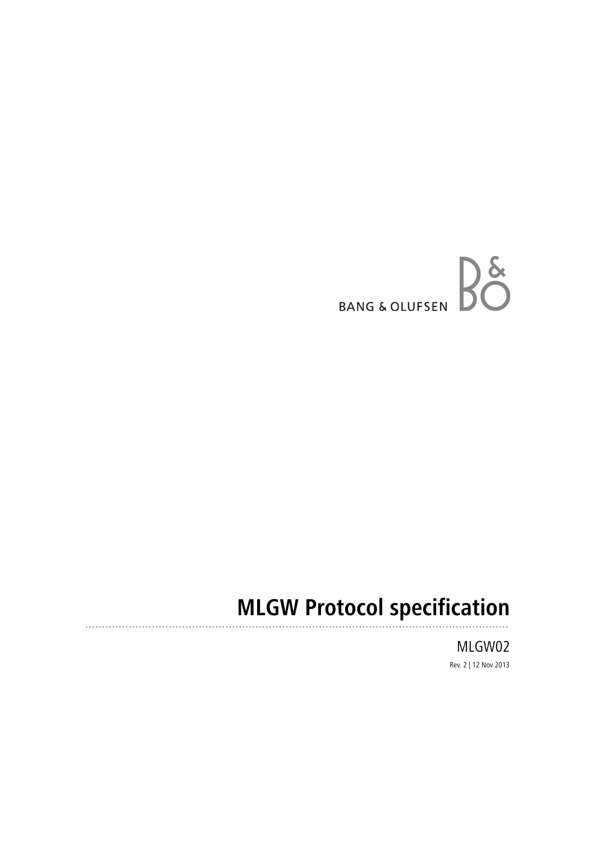

# **MLGW Protocol specification**

MLGW02 Rev. 2 | 12 Nov 2013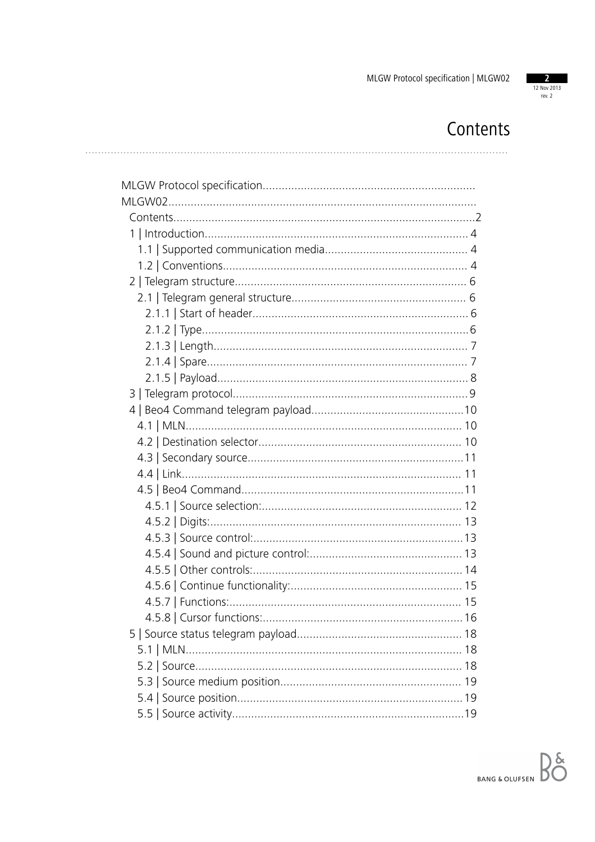

# Contents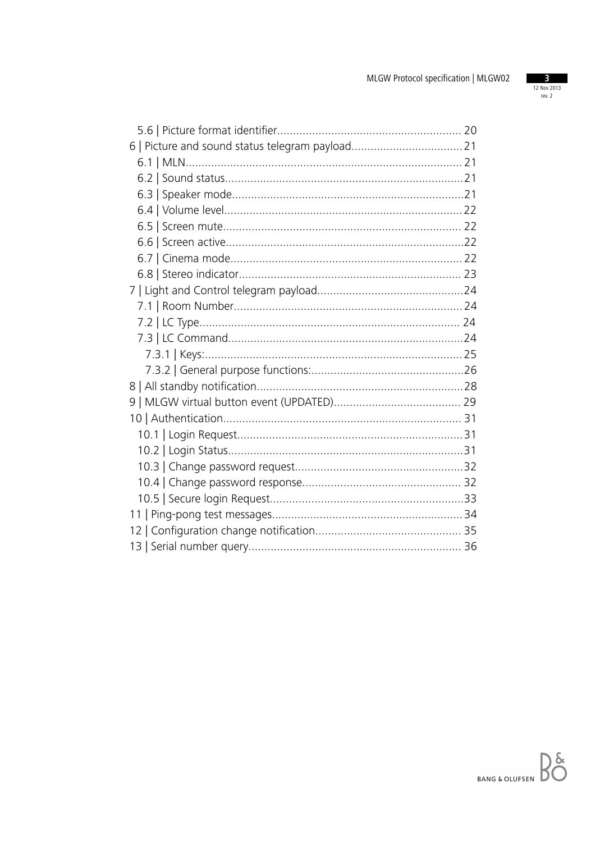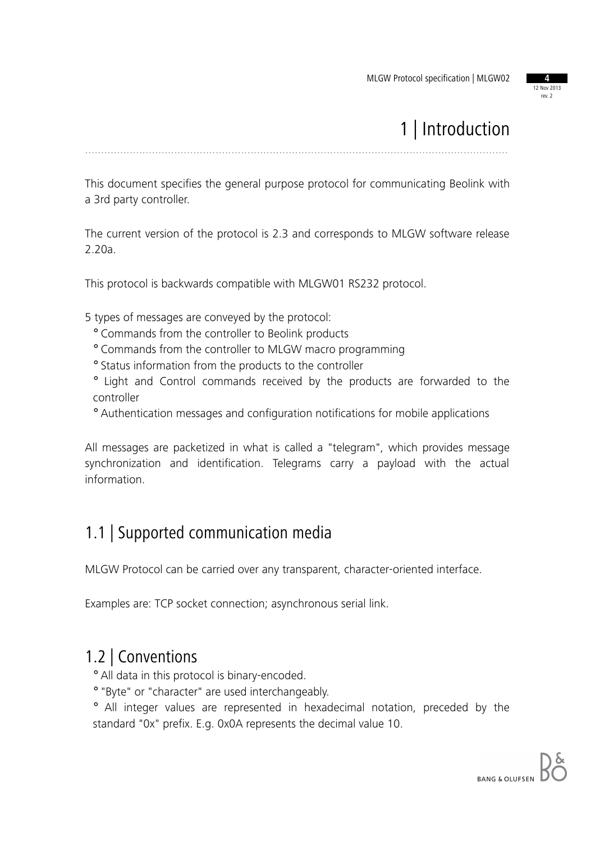12 Nov 2013 rev. 2

# 1 | Introduction

.....................................................................................................................................

This document specifies the general purpose protocol for communicating Beolink with a 3rd party controller.

The current version of the protocol is 2.3 and corresponds to MLGW software release 2.20a.

This protocol is backwards compatible with MLGW01 RS232 protocol.

5 types of messages are conveyed by the protocol:

- ° Commands from the controller to Beolink products
- ° Commands from the controller to MLGW macro programming
- ° Status information from the products to the controller
- ° Light and Control commands received by the products are forwarded to the controller
- ° Authentication messages and configuration notifications for mobile applications

All messages are packetized in what is called a "telegram", which provides message synchronization and identification. Telegrams carry a payload with the actual information.

### 1.1 | Supported communication media

MLGW Protocol can be carried over any transparent, character-oriented interface.

Examples are: TCP socket connection; asynchronous serial link.

### 1.2 | Conventions

° All data in this protocol is binary-encoded.

° "Byte" or "character" are used interchangeably.

° All integer values are represented in hexadecimal notation, preceded by the standard "0x" prefix. E.g. 0x0A represents the decimal value 10.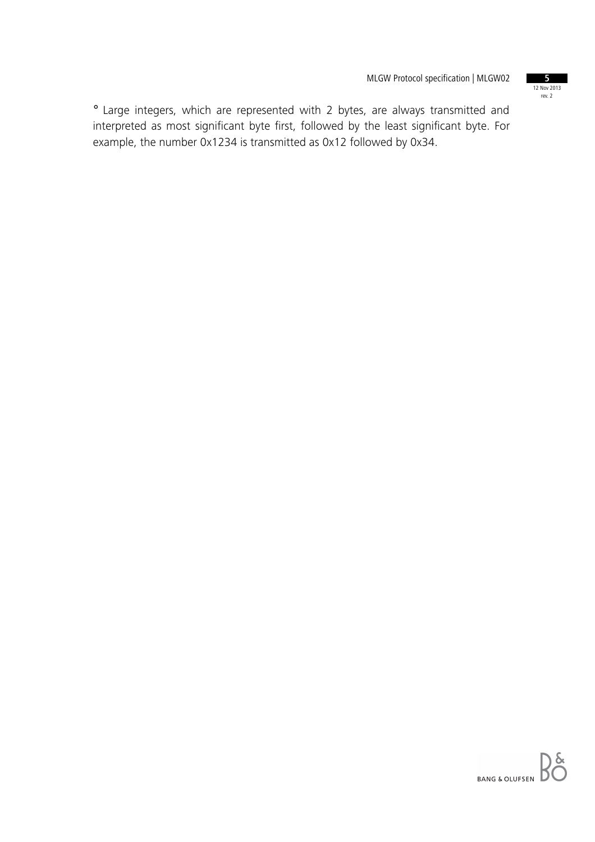12 Nov 2013 rev. 2

° Large integers, which are represented with 2 bytes, are always transmitted and interpreted as most significant byte first, followed by the least significant byte. For example, the number 0x1234 is transmitted as 0x12 followed by 0x34.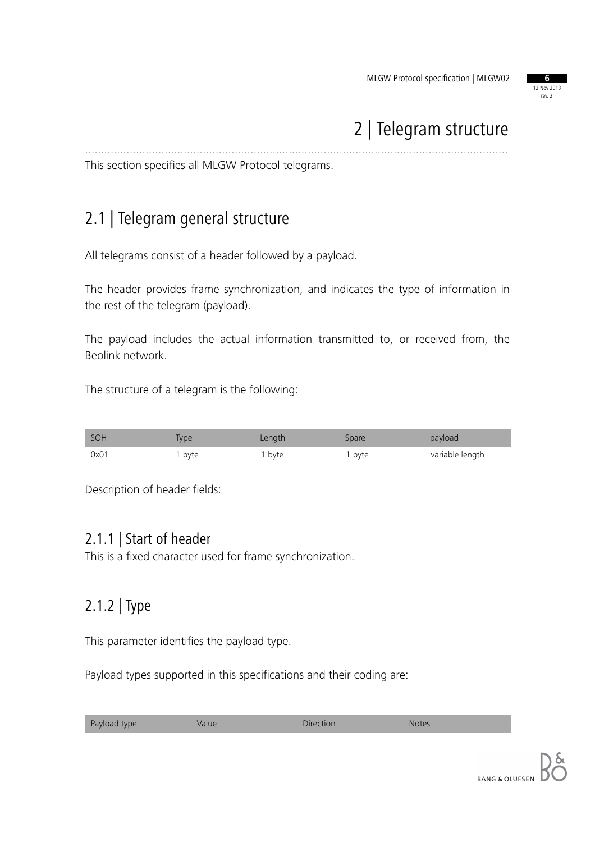

## 2 | Telegram structure

This section specifies all MLGW Protocol telegrams.

### 2.1 | Telegram general structure

All telegrams consist of a header followed by a payload.

The header provides frame synchronization, and indicates the type of information in the rest of the telegram (payload).

.....................................................................................................................................

The payload includes the actual information transmitted to, or received from, the Beolink network.

The structure of a telegram is the following:

| SOH  | <b>iype</b> | Length | Spare  | payload         |
|------|-------------|--------|--------|-----------------|
| 0x01 | byte        | , byte | I byte | variable length |

Description of header fields:

### 2.1.1 | Start of header

This is a fixed character used for frame synchronization.

### 2.1.2 | Type

This parameter identifies the payload type.

Payload types supported in this specifications and their coding are:

| Payload type<br>Direction<br>Value<br><b>Notes</b> |
|----------------------------------------------------|
|----------------------------------------------------|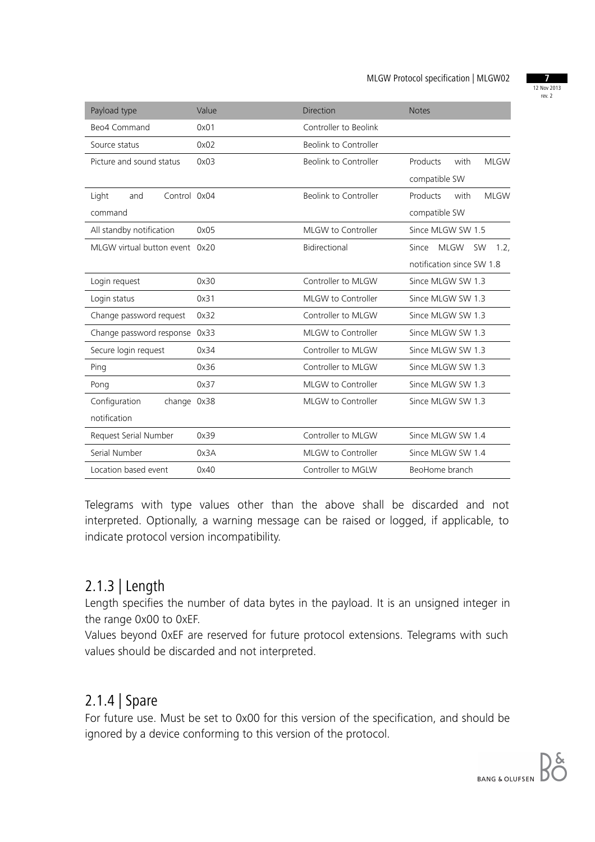12 Nov 2013 rev. 2

| Payload type                   | Value | <b>Direction</b>      | <b>Notes</b>                              |
|--------------------------------|-------|-----------------------|-------------------------------------------|
| Beo4 Command                   | 0x01  | Controller to Beolink |                                           |
| Source status                  | 0x02  | Beolink to Controller |                                           |
| Picture and sound status       | 0x03  | Beolink to Controller | Products<br>with<br><b>MLGW</b>           |
|                                |       |                       | compatible SW                             |
| Control 0x04<br>Light<br>and   |       | Beolink to Controller | Products<br>with<br><b>MLGW</b>           |
| command                        |       |                       | compatible SW                             |
| All standby notification       | 0x05  | MLGW to Controller    | Since MLGW SW 1.5                         |
| MLGW virtual button event 0x20 |       | Bidirectional         | Since<br><b>MLGW</b><br><b>SW</b><br>1.2. |
|                                |       |                       | notification since SW 1.8                 |
| Login request                  | 0x30  | Controller to MLGW    | Since MLGW SW 1.3                         |
| Login status                   | 0x31  | MLGW to Controller    | Since MLGW SW 1.3                         |
| Change password request        | 0x32  | Controller to MLGW    | Since MLGW SW 1.3                         |
| Change password response 0x33  |       | MLGW to Controller    | Since MLGW SW 1.3                         |
| Secure login request           | 0x34  | Controller to MLGW    | Since MLGW SW 1.3                         |
| Ping                           | 0x36  | Controller to MLGW    | Since MLGW SW 1.3                         |
| Pong                           | 0x37  | MLGW to Controller    | Since MLGW SW 1.3                         |
| Configuration<br>change 0x38   |       | MLGW to Controller    | Since MLGW SW 1.3                         |
| notification                   |       |                       |                                           |
| Request Serial Number          | 0x39  | Controller to MLGW    | Since MLGW SW 1.4                         |
| Serial Number                  | 0x3A  | MLGW to Controller    | Since MLGW SW 1.4                         |
| Location based event           | 0x40  | Controller to MGLW    | BeoHome branch                            |

Telegrams with type values other than the above shall be discarded and not interpreted. Optionally, a warning message can be raised or logged, if applicable, to indicate protocol version incompatibility.

### 2.1.3 | Length

Length specifies the number of data bytes in the payload. It is an unsigned integer in the range 0x00 to 0xEF.

Values beyond 0xEF are reserved for future protocol extensions. Telegrams with such values should be discarded and not interpreted.

### 2.1.4 | Spare

For future use. Must be set to 0x00 for this version of the specification, and should be ignored by a device conforming to this version of the protocol.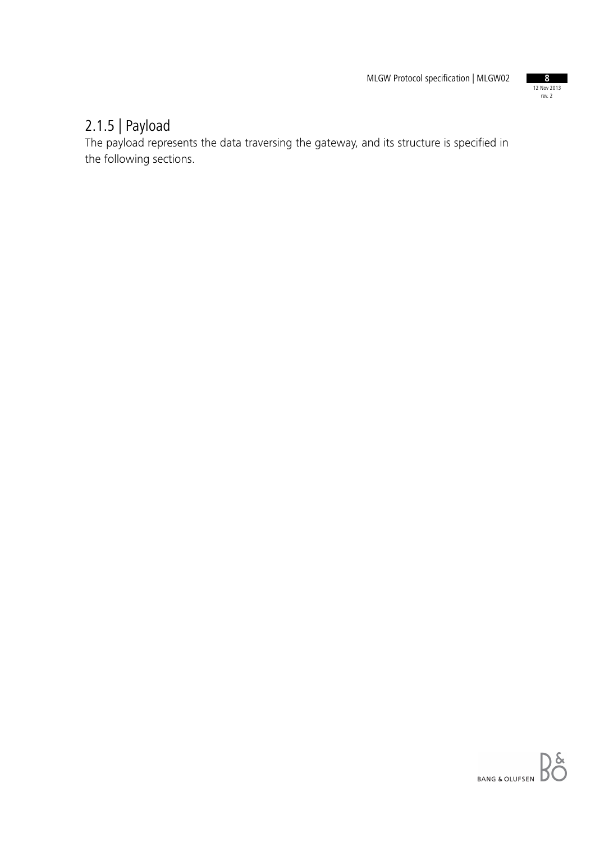

### 2.1.5 | Payload

The payload represents the data traversing the gateway, and its structure is specified in the following sections.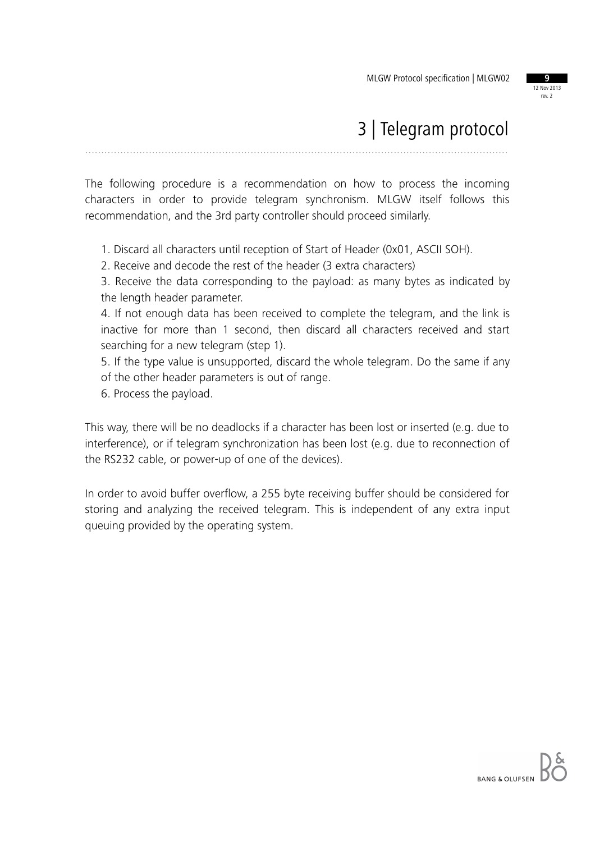

### 3 | Telegram protocol

.....................................................................................................................................

The following procedure is a recommendation on how to process the incoming characters in order to provide telegram synchronism. MLGW itself follows this recommendation, and the 3rd party controller should proceed similarly.

1. Discard all characters until reception of Start of Header (0x01, ASCII SOH).

2. Receive and decode the rest of the header (3 extra characters)

3. Receive the data corresponding to the payload: as many bytes as indicated by the length header parameter.

4. If not enough data has been received to complete the telegram, and the link is inactive for more than 1 second, then discard all characters received and start searching for a new telegram (step 1).

5. If the type value is unsupported, discard the whole telegram. Do the same if any of the other header parameters is out of range.

6. Process the payload.

This way, there will be no deadlocks if a character has been lost or inserted (e.g. due to interference), or if telegram synchronization has been lost (e.g. due to reconnection of the RS232 cable, or power-up of one of the devices).

In order to avoid buffer overflow, a 255 byte receiving buffer should be considered for storing and analyzing the received telegram. This is independent of any extra input queuing provided by the operating system.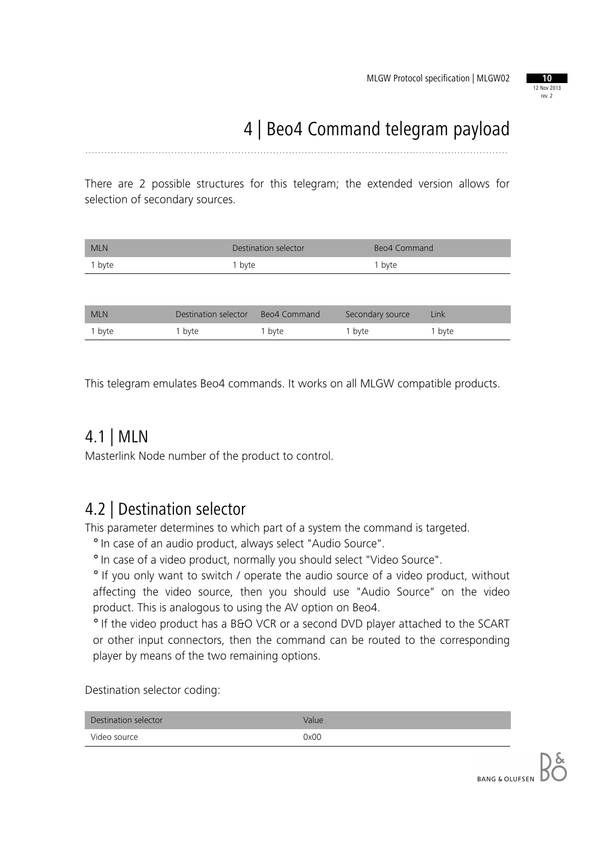

# 4 | Beo4 Command telegram payload

.....................................................................................................................................

There are 2 possible structures for this telegram; the extended version allows for selection of secondary sources.

| <b>MLN</b> | Destination selector | Beo4 Command |
|------------|----------------------|--------------|
| 1 byte     | 1 byte               | 1 byte       |
|            |                      |              |

| <b>MLN</b> | Destination selector | Beo4 Command      | Secondary source  | Link   |
|------------|----------------------|-------------------|-------------------|--------|
| 1 byte     | 1 byte               | <sup>1</sup> byte | <sup>1</sup> byte | 1 byte |

This telegram emulates Beo4 commands. It works on all MLGW compatible products.

### 4.1 | MLN

Masterlink Node number of the product to control.

### 4.2 | Destination selector

This parameter determines to which part of a system the command is targeted.

° In case of an audio product, always select "Audio Source".

° In case of a video product, normally you should select "Video Source".

° If you only want to switch / operate the audio source of a video product, without affecting the video source, then you should use "Audio Source" on the video product. This is analogous to using the AV option on Beo4.

° If the video product has a B&O VCR or a second DVD player attached to the SCART or other input connectors, then the command can be routed to the corresponding player by means of the two remaining options.

Destination selector coding:

| Destination selector | Value |
|----------------------|-------|
| Video source         | 0x00  |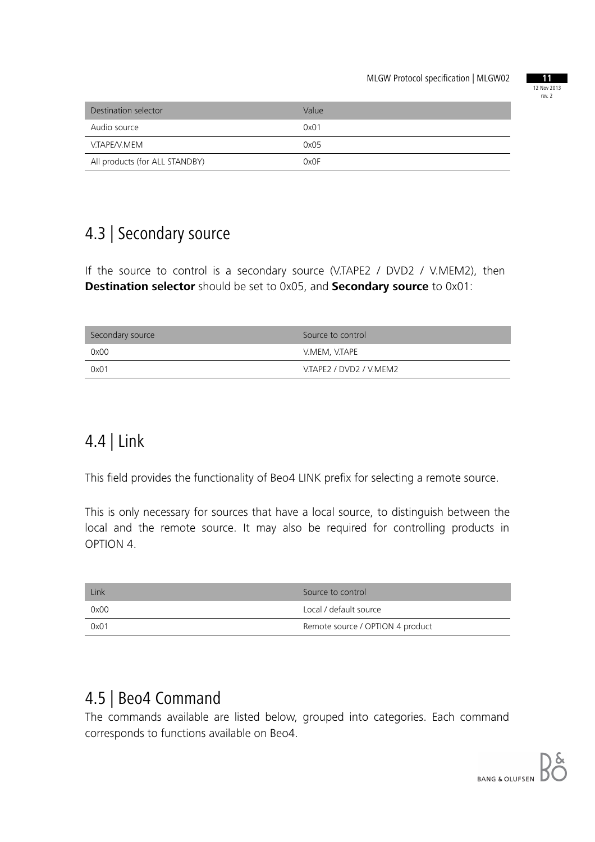

| Destination selector           | Value |
|--------------------------------|-------|
| Audio source                   | 0x01  |
| V.TAPE/V.MEM                   | 0x05  |
| All products (for ALL STANDBY) | 0x0F  |

### 4.3 | Secondary source

If the source to control is a secondary source (V.TAPE2 / DVD2 / V.MEM2), then **Destination selector** should be set to 0x05, and **Secondary source** to 0x01:

| Secondary source | Source to control       |
|------------------|-------------------------|
| 0x00             | V.MEM, V.TAPE           |
| 0x01             | V.TAPE2 / DVD2 / V.MEM2 |

### 4.4 | Link

This field provides the functionality of Beo4 LINK prefix for selecting a remote source.

This is only necessary for sources that have a local source, to distinguish between the local and the remote source. It may also be required for controlling products in OPTION 4.

| Link | Source to control                |
|------|----------------------------------|
| 0x00 | Local / default source           |
| 0x01 | Remote source / OPTION 4 product |

### 4.5 | Beo4 Command

The commands available are listed below, grouped into categories. Each command corresponds to functions available on Beo4.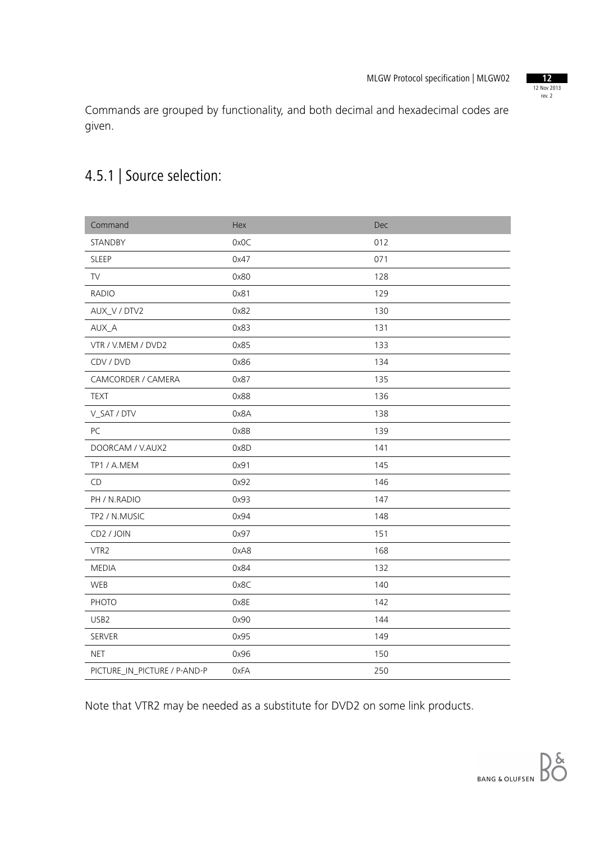12 Nov 2013 rev. 2

Commands are grouped by functionality, and both decimal and hexadecimal codes are given.

### 4.5.1 | Source selection:

| Command                      | Hex  | Dec |
|------------------------------|------|-----|
| STANDBY                      | 0x0C | 012 |
| <b>SLEEP</b>                 | 0x47 | 071 |
| ${\sf TV}$                   | 0x80 | 128 |
| <b>RADIO</b>                 | 0x81 | 129 |
| AUX_V / DTV2                 | 0x82 | 130 |
| AUX_A                        | 0x83 | 131 |
| VTR / V.MEM / DVD2           | 0x85 | 133 |
| CDV / DVD                    | 0x86 | 134 |
| CAMCORDER / CAMERA           | 0x87 | 135 |
| <b>TEXT</b>                  | 0x88 | 136 |
| V_SAT / DTV                  | 0x8A | 138 |
| PC                           | 0x8B | 139 |
| DOORCAM / V.AUX2             | 0x8D | 141 |
| TP1 / A.MEM                  | 0x91 | 145 |
| CD                           | 0x92 | 146 |
| PH / N.RADIO                 | 0x93 | 147 |
| TP2 / N.MUSIC                | 0x94 | 148 |
| CD2 / JOIN                   | 0x97 | 151 |
| VTR2                         | 0xA8 | 168 |
| <b>MEDIA</b>                 | 0x84 | 132 |
| WEB                          | 0x8C | 140 |
| PHOTO                        | 0x8E | 142 |
| USB2                         | 0x90 | 144 |
| SERVER                       | 0x95 | 149 |
| <b>NET</b>                   | 0x96 | 150 |
| PICTURE_IN_PICTURE / P-AND-P | 0xFA | 250 |

Note that VTR2 may be needed as a substitute for DVD2 on some link products.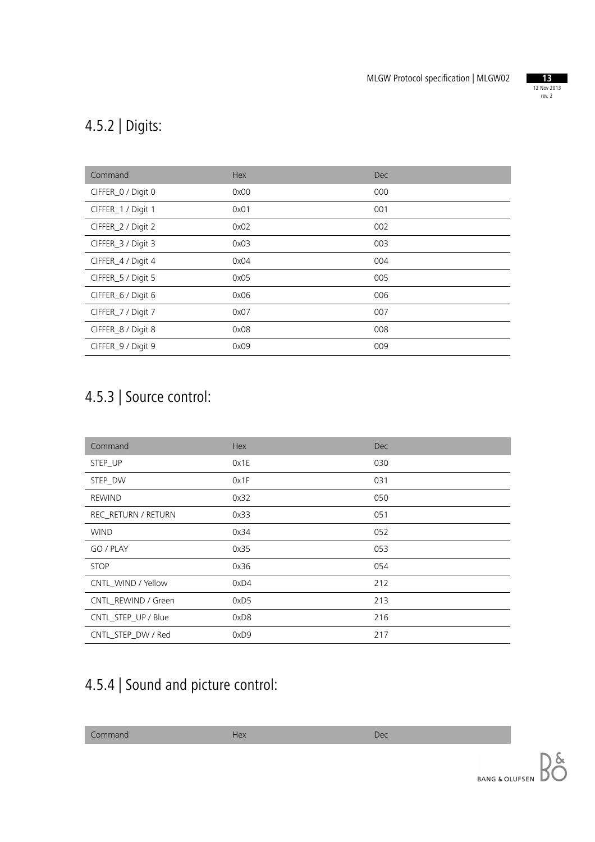

### 4.5.2 | Digits:

| Command            | Hex  | <b>Dec</b> |
|--------------------|------|------------|
| CIFFER_0 / Digit 0 | 0x00 | 000        |
| CIFFER_1 / Digit 1 | 0x01 | 001        |
| CIFFER_2 / Digit 2 | 0x02 | 002        |
| CIFFER_3 / Digit 3 | 0x03 | 003        |
| CIFFER_4 / Digit 4 | 0x04 | 004        |
| CIFFER_5 / Digit 5 | 0x05 | 005        |
| CIFFER_6 / Digit 6 | 0x06 | 006        |
| CIFFER_7 / Digit 7 | 0x07 | 007        |
| CIFFER_8 / Digit 8 | 0x08 | 008        |
| CIFFER_9 / Digit 9 | 0x09 | 009        |

### 4.5.3 | Source control:

| Command             | Hex  | <b>Dec</b> |
|---------------------|------|------------|
| STEP_UP             | 0x1E | 030        |
| STEP DW             | 0x1F | 031        |
| <b>REWIND</b>       | 0x32 | 050        |
| REC_RETURN / RETURN | 0x33 | 051        |
| <b>WIND</b>         | 0x34 | 052        |
| GO / PLAY           | 0x35 | 053        |
| <b>STOP</b>         | 0x36 | 054        |
| CNTL WIND / Yellow  | 0xD4 | 212        |
| CNTL REWIND / Green | 0xD5 | 213        |
| CNTL_STEP_UP / Blue | 0xD8 | 216        |
| CNTL_STEP_DW / Red  | 0xD9 | 217        |

### 4.5.4 | Sound and picture control:

**Command** Dec<sup>ember</sup> Dec<sup>ember</sup> 2008 Hex Dec<sup>ember</sup> 2008 Dec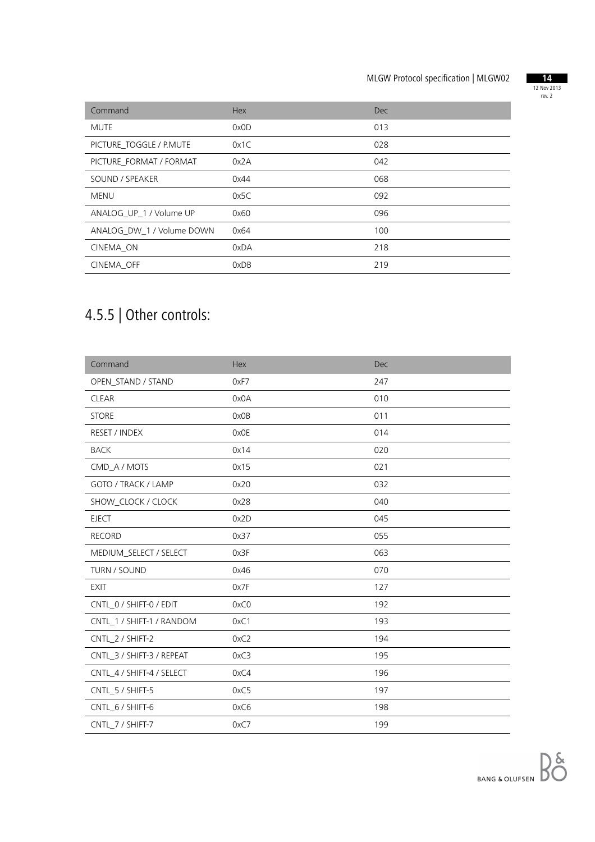

| Command                   | <b>Hex</b> | <b>Dec</b> |
|---------------------------|------------|------------|
| <b>MUTE</b>               | 0x0D       | 013        |
| PICTURE TOGGLE / P.MUTE   | 0x1C       | 028        |
| PICTURE FORMAT / FORMAT   | 0x2A       | 042        |
| SOUND / SPEAKER           | 0x44       | 068        |
| <b>MENU</b>               | 0x5C       | 092        |
| ANALOG_UP_1 / Volume UP   | 0x60       | 096        |
| ANALOG DW 1 / Volume DOWN | 0x64       | 100        |
| CINEMA ON                 | 0xDA       | 218        |
| CINEMA OFF                | 0xDB       | 219        |

## 4.5.5 | Other controls:

| Command                   | Hex  | Dec |
|---------------------------|------|-----|
| OPEN_STAND / STAND        | 0xF7 | 247 |
| <b>CLEAR</b>              | 0x0A | 010 |
| <b>STORE</b>              | 0x0B | 011 |
| RESET / INDEX             | 0x0E | 014 |
| <b>BACK</b>               | 0x14 | 020 |
| CMD_A / MOTS              | 0x15 | 021 |
| GOTO / TRACK / LAMP       | 0x20 | 032 |
| SHOW_CLOCK / CLOCK        | 0x28 | 040 |
| <b>EJECT</b>              | 0x2D | 045 |
| <b>RECORD</b>             | 0x37 | 055 |
| MEDIUM_SELECT / SELECT    | 0x3F | 063 |
| TURN / SOUND              | 0x46 | 070 |
| <b>EXIT</b>               | 0x7F | 127 |
| CNTL_0 / SHIFT-0 / EDIT   | 0xC0 | 192 |
| CNTL_1 / SHIFT-1 / RANDOM | 0xC1 | 193 |
| CNTL_2 / SHIFT-2          | 0xC2 | 194 |
| CNTL_3 / SHIFT-3 / REPEAT | 0xC3 | 195 |
| CNTL_4 / SHIFT-4 / SELECT | 0xC4 | 196 |
| CNTL_5 / SHIFT-5          | 0xC5 | 197 |
| CNTL_6 / SHIFT-6          | 0xC6 | 198 |
| CNTL 7 / SHIFT-7          | 0xC7 | 199 |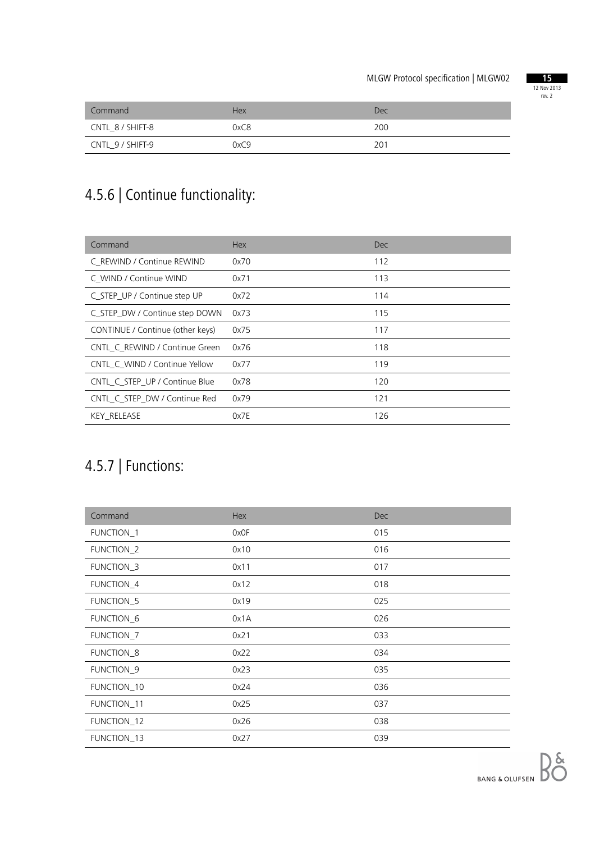

| Command          | <b>Hex</b> | Dec |
|------------------|------------|-----|
| CNTL 8 / SHIFT-8 | 0xC8       | 200 |
| CNTL_9 / SHIFT-9 | 0xC9       | 201 |

## 4.5.6 | Continue functionality:

| Command                          | <b>Hex</b> | <b>Dec</b> |
|----------------------------------|------------|------------|
| C REWIND / Continue REWIND       | 0x70       | 112        |
| C WIND / Continue WIND           | 0x71       | 113        |
| C_STEP_UP / Continue step UP     | 0x72       | 114        |
| C_STEP_DW / Continue step DOWN   | 0x73       | 115        |
| CONTINUE / Continue (other keys) | 0x75       | 117        |
| CNTL C REWIND / Continue Green   | 0x76       | 118        |
| CNTL C WIND / Continue Yellow    | 0x77       | 119        |
| CNTL C STEP UP / Continue Blue   | 0x78       | 120        |
| CNTL C STEP DW / Continue Red    | 0x79       | 121        |
| <b>KEY RELEASE</b>               | 0x7E       | 126        |

### 4.5.7 | Functions:

| Command               | Hex  | <b>Dec</b> |
|-----------------------|------|------------|
| <b>FUNCTION_1</b>     | 0x0F | 015        |
| FUNCTION_2            | 0x10 | 016        |
| FUNCTION_3            | 0x11 | 017        |
| FUNCTION_4            | 0x12 | 018        |
| FUNCTION_5            | 0x19 | 025        |
| FUNCTION <sub>6</sub> | 0x1A | 026        |
| FUNCTION_7            | 0x21 | 033        |
| FUNCTION_8            | 0x22 | 034        |
| <b>FUNCTION_9</b>     | 0x23 | 035        |
| FUNCTION_10           | 0x24 | 036        |
| FUNCTION_11           | 0x25 | 037        |
| FUNCTION_12           | 0x26 | 038        |
| FUNCTION_13           | 0x27 | 039        |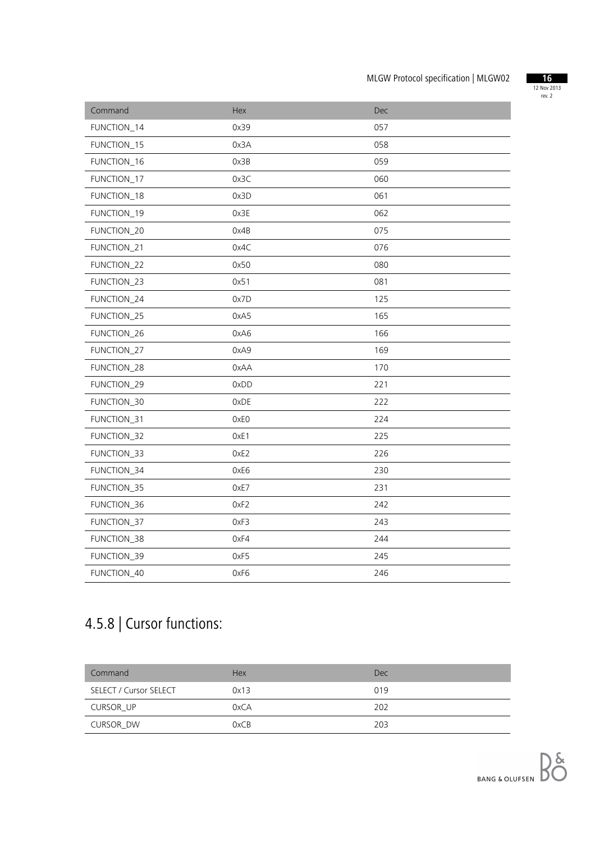

| Command     | Hex  | Dec |
|-------------|------|-----|
| FUNCTION_14 | 0x39 | 057 |
| FUNCTION_15 | 0x3A | 058 |
| FUNCTION_16 | 0x3B | 059 |
| FUNCTION_17 | 0x3C | 060 |
| FUNCTION_18 | 0x3D | 061 |
| FUNCTION_19 | 0x3E | 062 |
| FUNCTION_20 | 0x4B | 075 |
| FUNCTION_21 | 0x4C | 076 |
| FUNCTION_22 | 0x50 | 080 |
| FUNCTION_23 | 0x51 | 081 |
| FUNCTION_24 | 0x7D | 125 |
| FUNCTION_25 | 0xA5 | 165 |
| FUNCTION_26 | 0xA6 | 166 |
| FUNCTION_27 | 0xA9 | 169 |
| FUNCTION_28 | 0xAA | 170 |
| FUNCTION_29 | 0xDD | 221 |
| FUNCTION_30 | 0xDE | 222 |
| FUNCTION_31 | 0xE0 | 224 |
| FUNCTION_32 | OxE1 | 225 |
| FUNCTION_33 | OxE2 | 226 |
| FUNCTION_34 | 0xE6 | 230 |
| FUNCTION_35 | OxE7 | 231 |
| FUNCTION_36 | OxF2 | 242 |
| FUNCTION_37 | 0xF3 | 243 |
| FUNCTION_38 | 0xF4 | 244 |
| FUNCTION_39 | OxF5 | 245 |
| FUNCTION_40 | 0xF6 | 246 |

## 4.5.8 | Cursor functions:

| Command                | <b>Hex</b> | Dec |
|------------------------|------------|-----|
| SELECT / Cursor SELECT | 0x13       | 019 |
| CURSOR UP              | 0xCA       | 202 |
| CURSOR DW              | 0xCB       | 203 |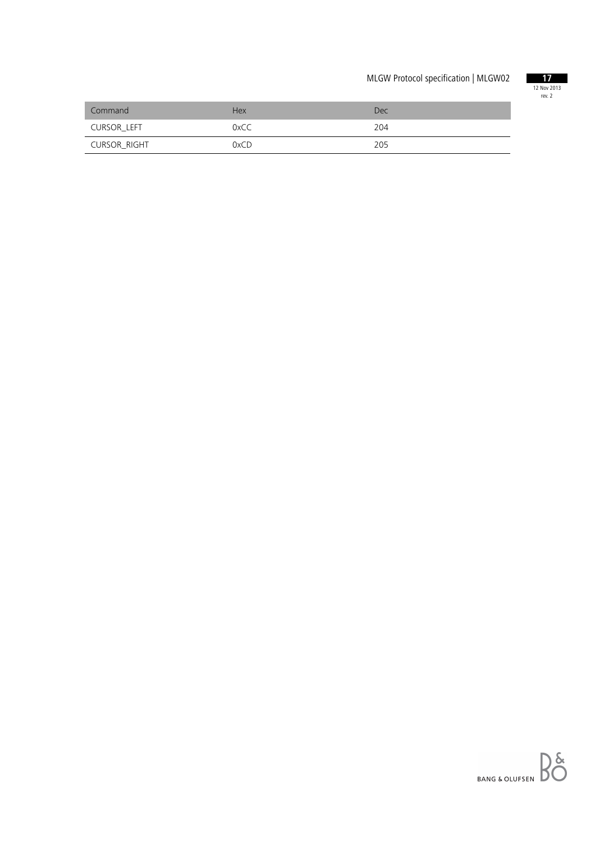

| Command      | <b>Hex</b> | Dec |
|--------------|------------|-----|
| CURSOR LEFT  | 0xCC       | 204 |
| CURSOR_RIGHT | 0xCD       | 205 |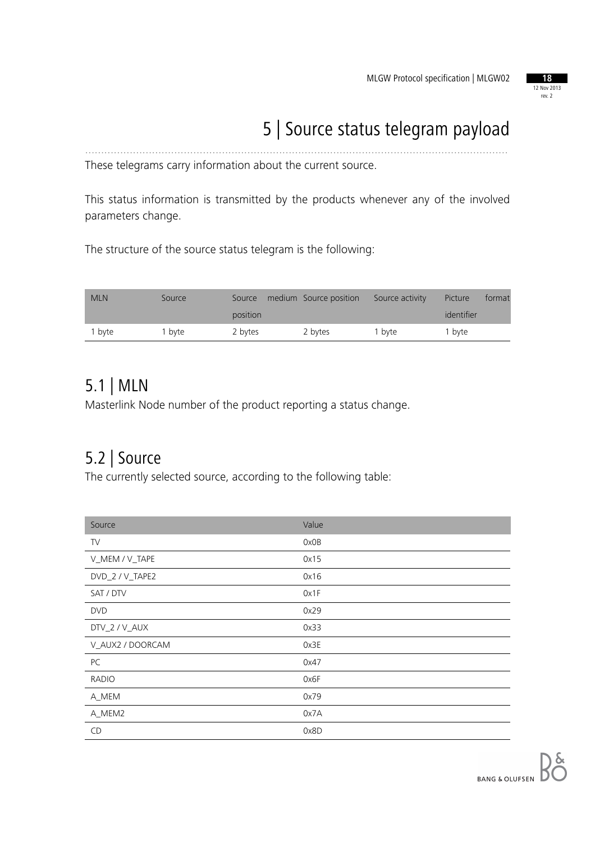

# 5 | Source status telegram payload

These telegrams carry information about the current source.

This status information is transmitted by the products whenever any of the involved parameters change.

.....................................................................................................................................

The structure of the source status telegram is the following:

| <b>MLN</b> | Source | Source   | medium Source position | Source activity | Picture    | format |
|------------|--------|----------|------------------------|-----------------|------------|--------|
|            |        | position |                        |                 | identifier |        |
| 1 byte     | I bvte | 2 bytes  | 2 bytes                | 1 byte          | 1 byte     |        |

### 5.1 | MLN

Masterlink Node number of the product reporting a status change.

### 5.2 | Source

The currently selected source, according to the following table:

| Source           | Value |
|------------------|-------|
| TV               | 0x0B  |
| V_MEM / V_TAPE   | 0x15  |
| DVD_2 / V_TAPE2  | 0x16  |
| SAT / DTV        | 0x1F  |
| <b>DVD</b>       | 0x29  |
| DTV_2 / V_AUX    | 0x33  |
| V_AUX2 / DOORCAM | 0x3E  |
| PC               | 0x47  |
| <b>RADIO</b>     | 0x6F  |
| A_MEM            | 0x79  |
| A_MEM2           | 0x7A  |
| <b>CD</b>        | 0x8D  |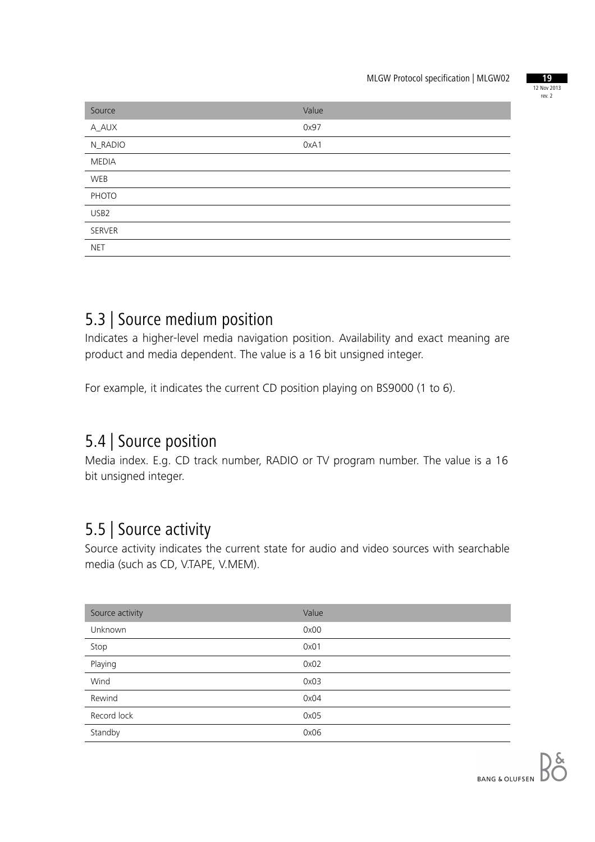

| Source           | Value |
|------------------|-------|
| A_AUX            | 0x97  |
| N_RADIO          | 0xA1  |
| <b>MEDIA</b>     |       |
| WEB              |       |
| PHOTO            |       |
| USB <sub>2</sub> |       |
| SERVER           |       |
| <b>NET</b>       |       |

### 5.3 | Source medium position

Indicates a higher-level media navigation position. Availability and exact meaning are product and media dependent. The value is a 16 bit unsigned integer.

For example, it indicates the current CD position playing on BS9000 (1 to 6).

### 5.4 | Source position

Media index. E.g. CD track number, RADIO or TV program number. The value is a 16 bit unsigned integer.

### 5.5 | Source activity

Source activity indicates the current state for audio and video sources with searchable media (such as CD, V.TAPE, V.MEM).

| Source activity | Value |
|-----------------|-------|
| Unknown         | 0x00  |
| Stop            | 0x01  |
| Playing         | 0x02  |
| Wind            | 0x03  |
| Rewind          | 0x04  |
| Record lock     | 0x05  |
| Standby         | 0x06  |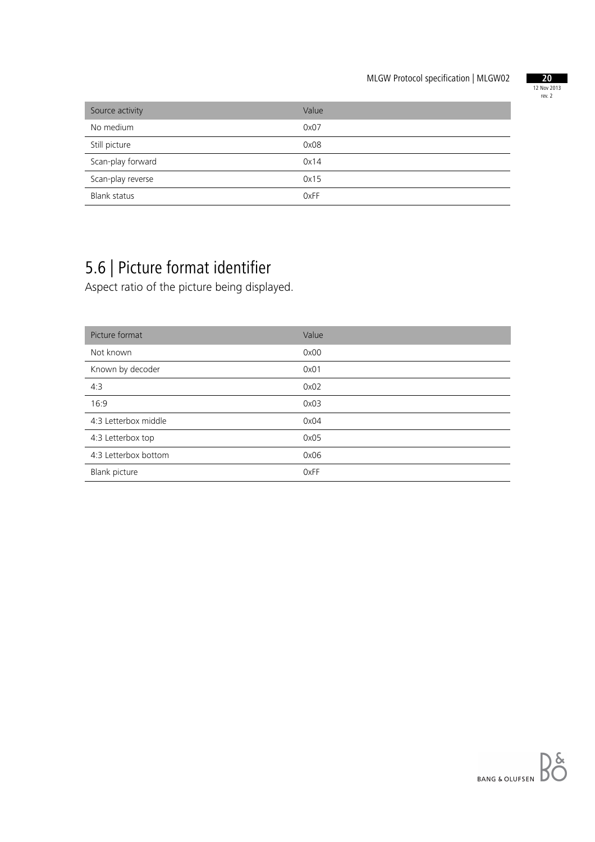

| Source activity     | Value |
|---------------------|-------|
| No medium           | 0x07  |
| Still picture       | 0x08  |
| Scan-play forward   | 0x14  |
| Scan-play reverse   | 0x15  |
| <b>Blank status</b> | 0xFF  |

## 5.6 | Picture format identifier

Aspect ratio of the picture being displayed.

| Picture format       | Value |
|----------------------|-------|
| Not known            | 0x00  |
| Known by decoder     | 0x01  |
| 4:3                  | 0x02  |
| 16:9                 | 0x03  |
| 4:3 Letterbox middle | 0x04  |
| 4:3 Letterbox top    | 0x05  |
| 4:3 Letterbox bottom | 0x06  |
| Blank picture        | 0xFF  |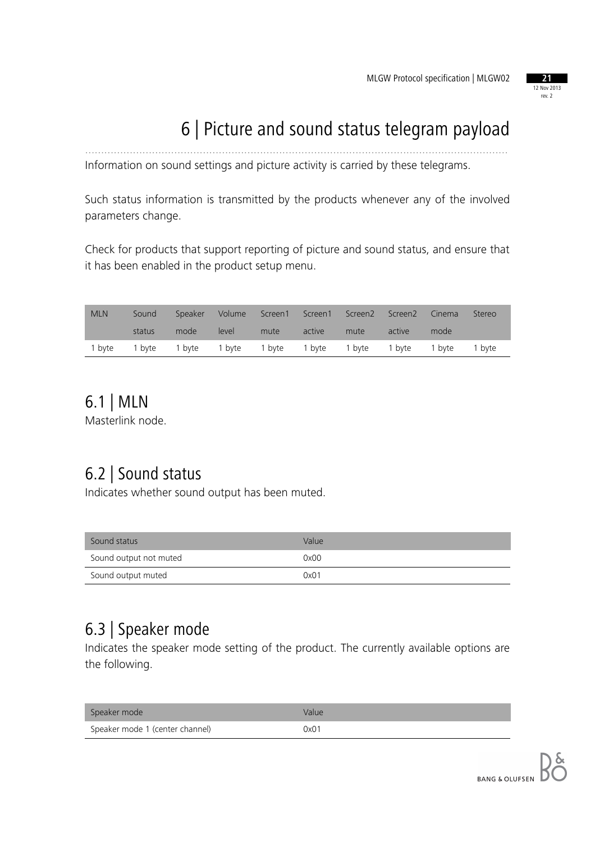#### 12 Nov 2013 rev. 2

## 6 | Picture and sound status telegram payload

Information on sound settings and picture activity is carried by these telegrams.

Such status information is transmitted by the products whenever any of the involved parameters change.

.....................................................................................................................................

Check for products that support reporting of picture and sound status, and ensure that it has been enabled in the product setup menu.

| <b>MLN</b> | Sound  |                                                                | Speaker Volume |      |        | Screen1 Screen1 Screen2 Screen2 |        | Cinema | Stereo |
|------------|--------|----------------------------------------------------------------|----------------|------|--------|---------------------------------|--------|--------|--------|
|            | status | mode                                                           | level          | mute | active | mute                            | active | mode   |        |
|            |        | 1 byte 1 byte 1 byte 1 byte 1 byte 1 byte 1 byte 1 byte 1 byte |                |      |        |                                 |        |        | 1 byte |

### 6.1 | MLN

Masterlink node.

### 6.2 | Sound status

Indicates whether sound output has been muted.

| Sound status           | Value |
|------------------------|-------|
| Sound output not muted | 0x00  |
| Sound output muted     | 0x01  |

### 6.3 | Speaker mode

Indicates the speaker mode setting of the product. The currently available options are the following.

| Speaker mode                    | Value |
|---------------------------------|-------|
| Speaker mode 1 (center channel) | 0x01  |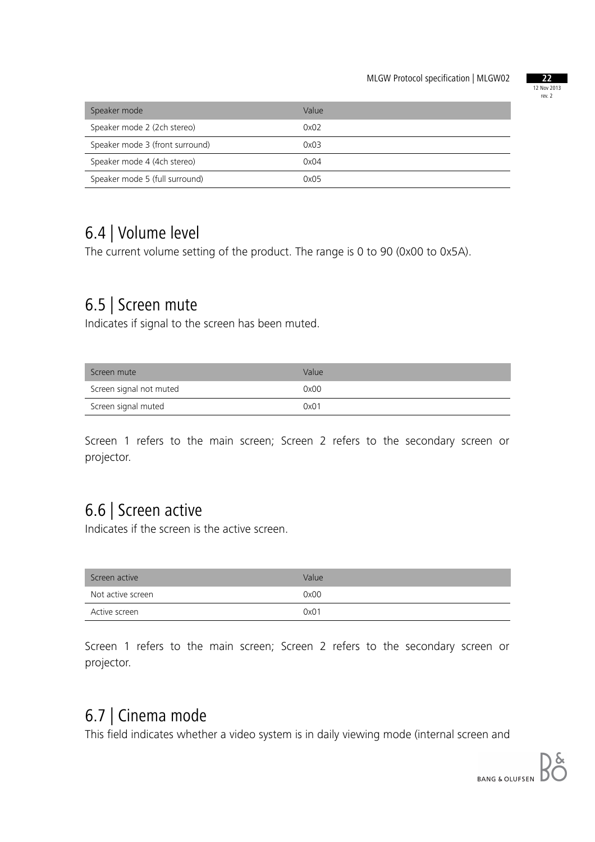

| Speaker mode                    | Value |
|---------------------------------|-------|
| Speaker mode 2 (2ch stereo)     | 0x02  |
| Speaker mode 3 (front surround) | 0x03  |
| Speaker mode 4 (4ch stereo)     | 0x04  |
| Speaker mode 5 (full surround)  | 0x05  |

### 6.4 | Volume level

The current volume setting of the product. The range is 0 to 90 (0x00 to 0x5A).

### 6.5 | Screen mute

Indicates if signal to the screen has been muted.

| Screen mute             | Value |
|-------------------------|-------|
| Screen signal not muted | 0x00  |
| Screen signal muted     | 0x01  |

Screen 1 refers to the main screen; Screen 2 refers to the secondary screen or projector.

### 6.6 | Screen active

Indicates if the screen is the active screen.

| Screen active     | Value |
|-------------------|-------|
| Not active screen | 0x00  |
| Active screen     | 0x01  |

Screen 1 refers to the main screen; Screen 2 refers to the secondary screen or projector.

### 6.7 | Cinema mode

This field indicates whether a video system is in daily viewing mode (internal screen and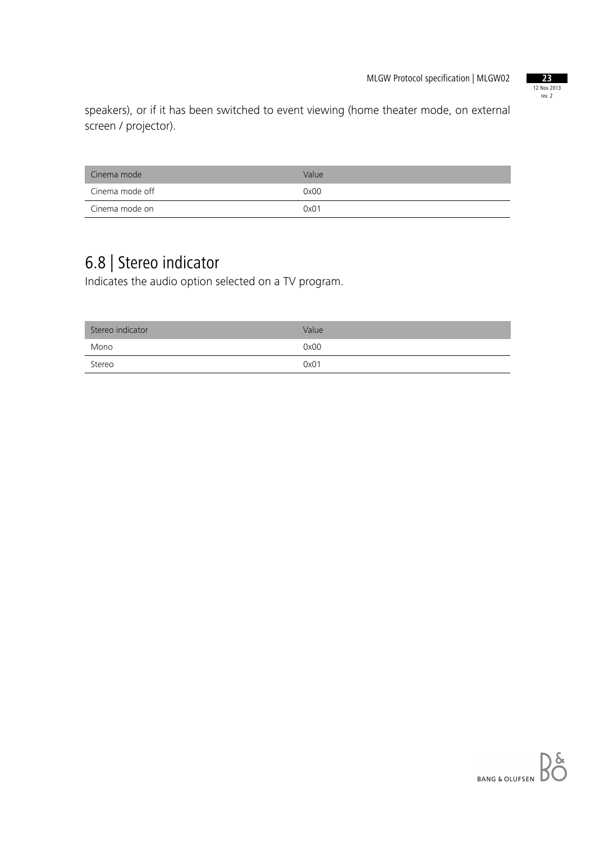

speakers), or if it has been switched to event viewing (home theater mode, on external screen / projector).

| Cinema mode     | Value |
|-----------------|-------|
| Cinema mode off | 0x00  |
| Cinema mode on  | 0x01  |

## 6.8 | Stereo indicator

Indicates the audio option selected on a TV program.

| Stereo indicator | Value |
|------------------|-------|
| Mono             | 0x00  |
| Stereo           | 0x01  |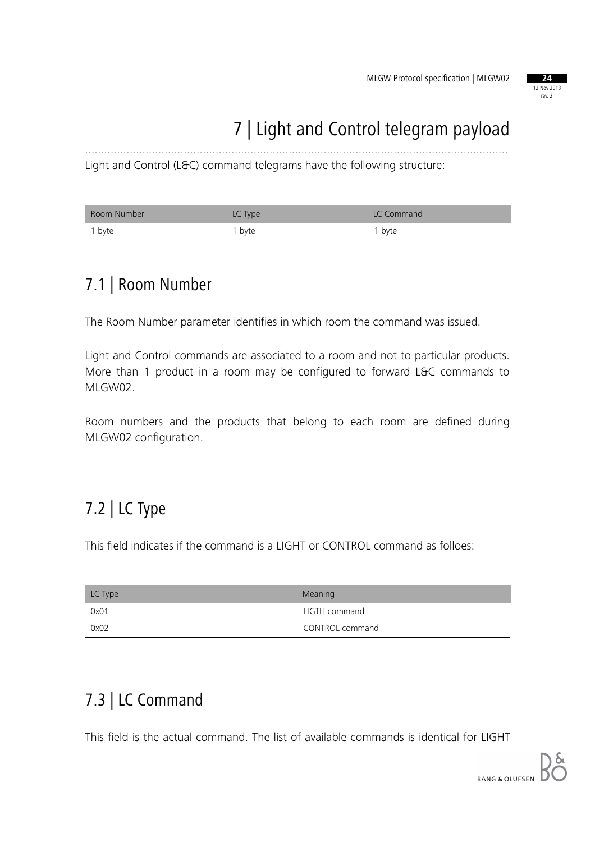

# 7 | Light and Control telegram payload

Light and Control (L&C) command telegrams have the following structure:

| Room Number | LC Type           | LC Command        |
|-------------|-------------------|-------------------|
| i byte      | <sup>1</sup> byte | <sup>1</sup> byte |

.....................................................................................................................................

### 7.1 | Room Number

The Room Number parameter identifies in which room the command was issued.

Light and Control commands are associated to a room and not to particular products. More than 1 product in a room may be configured to forward L&C commands to MLGW02.

Room numbers and the products that belong to each room are defined during MLGW02 configuration.

### 7.2 | LC Type

This field indicates if the command is a LIGHT or CONTROL command as folloes:

| LC Type | Meaning         |
|---------|-----------------|
| 0x01    | LIGTH command   |
| 0x02    | CONTROL command |

### 7.3 | LC Command

This field is the actual command. The list of available commands is identical for LIGHT

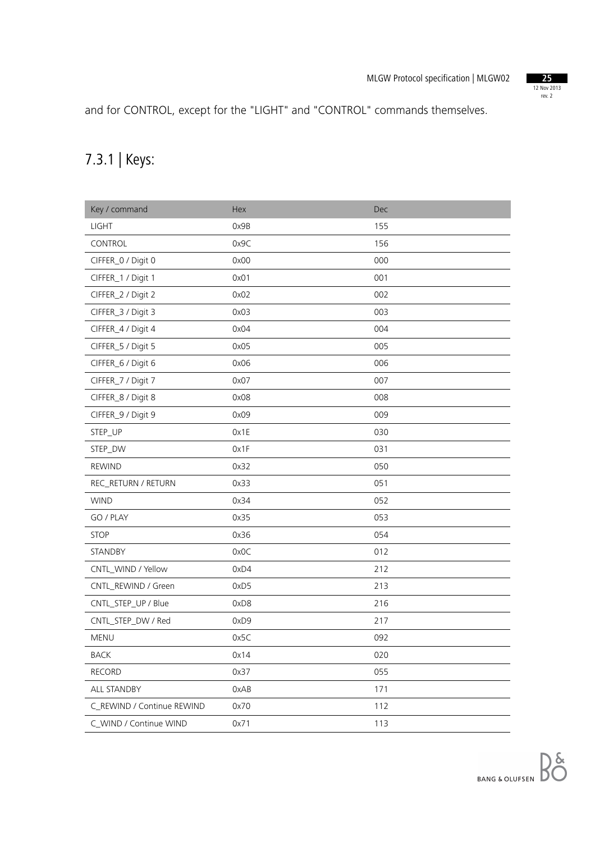

and for CONTROL, except for the "LIGHT" and "CONTROL" commands themselves.

### 7.3.1 | Keys:

| Key / command              | Hex  | Dec |
|----------------------------|------|-----|
| <b>LIGHT</b>               | 0x9B | 155 |
| CONTROL                    | 0x9C | 156 |
| CIFFER_0 / Digit 0         | 0x00 | 000 |
| CIFFER_1 / Digit 1         | 0x01 | 001 |
| CIFFER_2 / Digit 2         | 0x02 | 002 |
| CIFFER_3 / Digit 3         | 0x03 | 003 |
| CIFFER_4 / Digit 4         | 0x04 | 004 |
| CIFFER_5 / Digit 5         | 0x05 | 005 |
| CIFFER_6 / Digit 6         | 0x06 | 006 |
| CIFFER_7 / Digit 7         | 0x07 | 007 |
| CIFFER_8 / Digit 8         | 0x08 | 008 |
| CIFFER_9 / Digit 9         | 0x09 | 009 |
| STEP_UP                    | 0x1E | 030 |
| STEP_DW                    | 0x1F | 031 |
| <b>REWIND</b>              | 0x32 | 050 |
| REC_RETURN / RETURN        | 0x33 | 051 |
| <b>WIND</b>                | 0x34 | 052 |
| GO / PLAY                  | 0x35 | 053 |
| <b>STOP</b>                | 0x36 | 054 |
| STANDBY                    | 0x0C | 012 |
| CNTL_WIND / Yellow         | 0xD4 | 212 |
| CNTL_REWIND / Green        | 0xD5 | 213 |
| CNTL_STEP_UP / Blue        | 0xD8 | 216 |
| CNTL_STEP_DW / Red         | 0xD9 | 217 |
| MENU                       | 0x5C | 092 |
| <b>BACK</b>                | 0x14 | 020 |
| <b>RECORD</b>              | 0x37 | 055 |
| ALL STANDBY                | 0xAB | 171 |
| C_REWIND / Continue REWIND | 0x70 | 112 |
| C_WIND / Continue WIND     | 0x71 | 113 |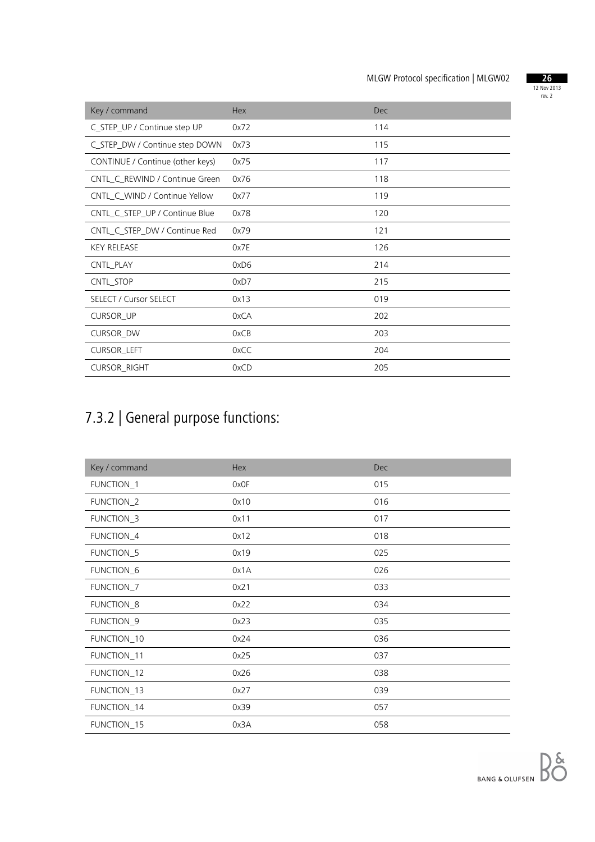

| Key / command                    | Hex  | <b>Dec</b> |
|----------------------------------|------|------------|
| C_STEP_UP / Continue step UP     | 0x72 | 114        |
| C_STEP_DW / Continue step DOWN   | 0x73 | 115        |
| CONTINUE / Continue (other keys) | 0x75 | 117        |
| CNTL_C_REWIND / Continue Green   | 0x76 | 118        |
| CNTL_C_WIND / Continue Yellow    | 0x77 | 119        |
| CNTL_C_STEP_UP / Continue Blue   | 0x78 | 120        |
| CNTL_C_STEP_DW / Continue Red    | 0x79 | 121        |
| <b>KEY RELEASE</b>               | 0x7E | 126        |
| CNTL_PLAY                        | 0xD6 | 214        |
| CNTL STOP                        | 0xD7 | 215        |
| <b>SELECT / Cursor SELECT</b>    | 0x13 | 019        |
| <b>CURSOR_UP</b>                 | 0xCA | 202        |
| <b>CURSOR_DW</b>                 | 0xCB | 203        |
| CURSOR_LEFT                      | 0xCC | 204        |
| <b>CURSOR_RIGHT</b>              | 0xCD | 205        |

## 7.3.2 | General purpose functions:

| Key / command | Hex  | Dec |
|---------------|------|-----|
| FUNCTION_1    | 0x0F | 015 |
| FUNCTION_2    | 0x10 | 016 |
| FUNCTION_3    | 0x11 | 017 |
| FUNCTION_4    | 0x12 | 018 |
| FUNCTION_5    | 0x19 | 025 |
| FUNCTION_6    | 0x1A | 026 |
| FUNCTION_7    | 0x21 | 033 |
| FUNCTION_8    | 0x22 | 034 |
| FUNCTION_9    | 0x23 | 035 |
| FUNCTION_10   | 0x24 | 036 |
| FUNCTION_11   | 0x25 | 037 |
| FUNCTION_12   | 0x26 | 038 |
| FUNCTION_13   | 0x27 | 039 |
| FUNCTION_14   | 0x39 | 057 |
| FUNCTION_15   | 0x3A | 058 |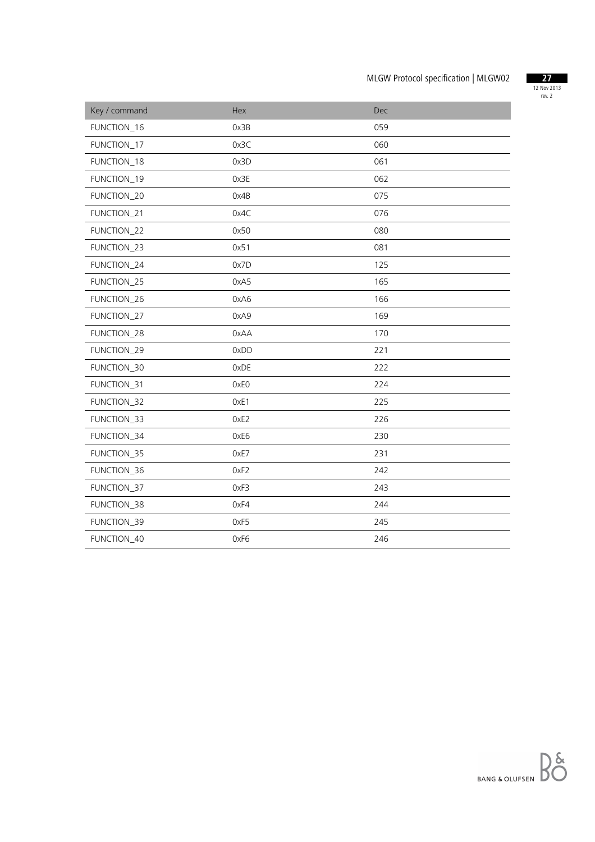

| Key / command | Hex  | Dec |
|---------------|------|-----|
| FUNCTION_16   | 0x3B | 059 |
| FUNCTION_17   | 0x3C | 060 |
| FUNCTION_18   | 0x3D | 061 |
| FUNCTION_19   | 0x3E | 062 |
| FUNCTION_20   | 0x4B | 075 |
| FUNCTION_21   | 0x4C | 076 |
| FUNCTION_22   | 0x50 | 080 |
| FUNCTION_23   | 0x51 | 081 |
| FUNCTION_24   | 0x7D | 125 |
| FUNCTION_25   | 0xA5 | 165 |
| FUNCTION_26   | 0xA6 | 166 |
| FUNCTION_27   | 0xA9 | 169 |
| FUNCTION_28   | 0xAA | 170 |
| FUNCTION_29   | 0xDD | 221 |
| FUNCTION_30   | 0xDE | 222 |
| FUNCTION_31   | 0xE0 | 224 |
| FUNCTION_32   | OxE1 | 225 |
| FUNCTION_33   | 0xE2 | 226 |
| FUNCTION_34   | 0xE6 | 230 |
| FUNCTION_35   | OxE7 | 231 |
| FUNCTION_36   | OxF2 | 242 |
| FUNCTION_37   | 0xF3 | 243 |
| FUNCTION_38   | 0xF4 | 244 |
| FUNCTION_39   | 0xF5 | 245 |
| FUNCTION_40   | 0xF6 | 246 |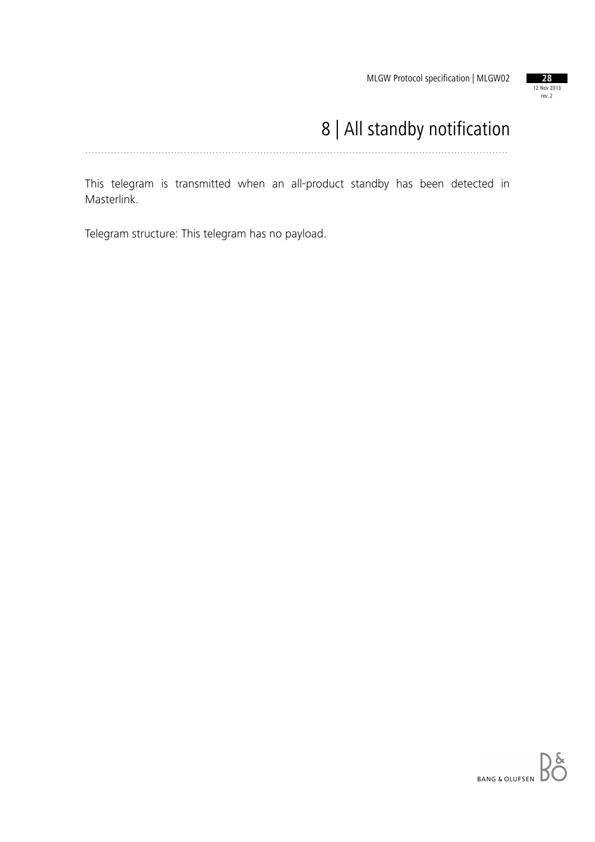

# 8 | All standby notification

.....................................................................................................................................

This telegram is transmitted when an all-product standby has been detected in Masterlink.

Telegram structure: This telegram has no payload.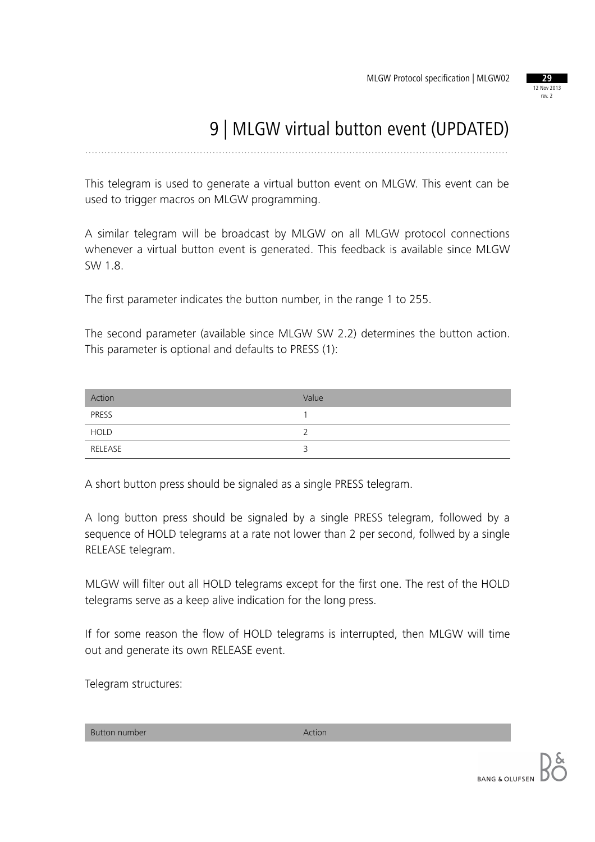

# 9 | MLGW virtual button event (UPDATED)

.....................................................................................................................................

This telegram is used to generate a virtual button event on MLGW. This event can be used to trigger macros on MLGW programming.

A similar telegram will be broadcast by MLGW on all MLGW protocol connections whenever a virtual button event is generated. This feedback is available since MLGW SW 1.8.

The first parameter indicates the button number, in the range 1 to 255.

The second parameter (available since MLGW SW 2.2) determines the button action. This parameter is optional and defaults to PRESS (1):

| Action      | Value |
|-------------|-------|
| PRESS       |       |
| <b>HOLD</b> |       |
| RELEASE     |       |

A short button press should be signaled as a single PRESS telegram.

A long button press should be signaled by a single PRESS telegram, followed by a sequence of HOLD telegrams at a rate not lower than 2 per second, follwed by a single RELEASE telegram.

MLGW will filter out all HOLD telegrams except for the first one. The rest of the HOLD telegrams serve as a keep alive indication for the long press.

If for some reason the flow of HOLD telegrams is interrupted, then MLGW will time out and generate its own RELEASE event.

Telegram structures:

Button number Action Action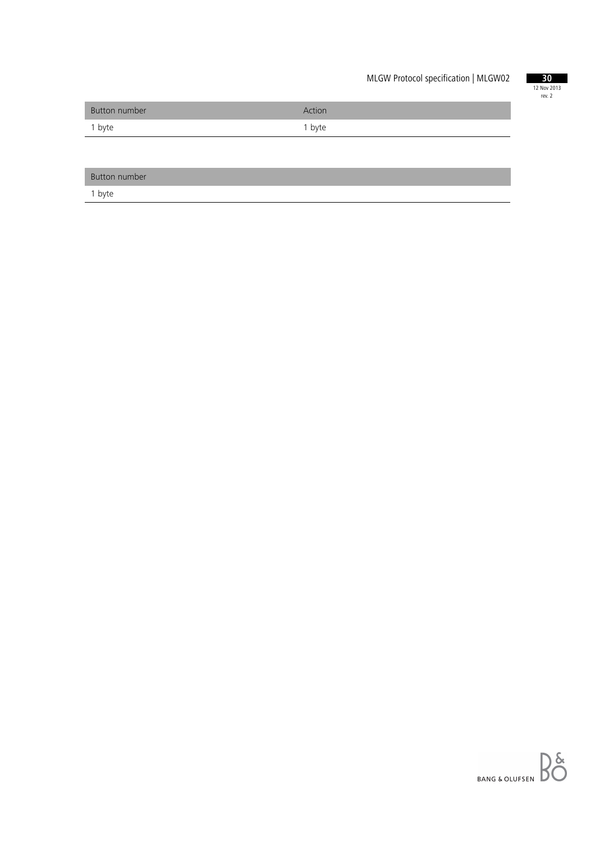

| Button number | Action |
|---------------|--------|
| 1 byte        | 1 byte |

| Button number |  |
|---------------|--|
|               |  |

1 byte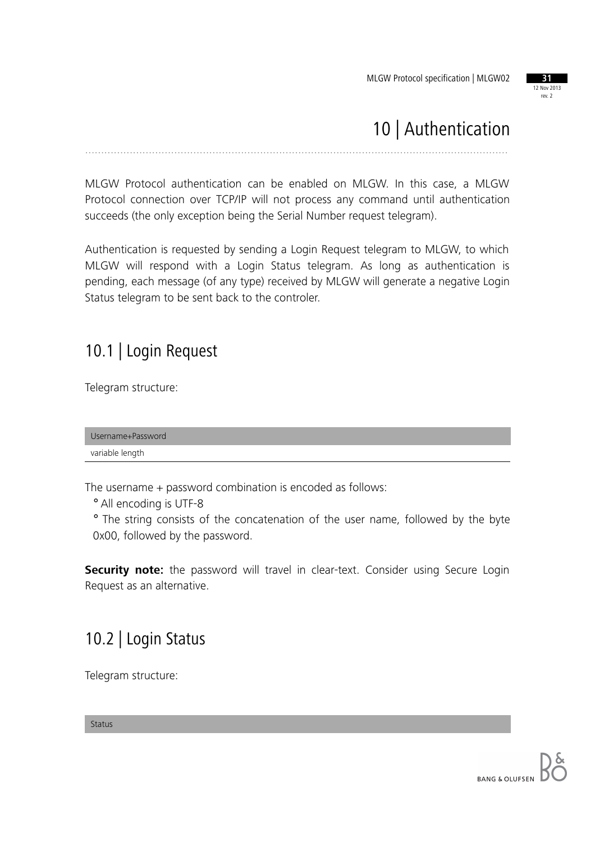

## 10 | Authentication

.....................................................................................................................................

MLGW Protocol authentication can be enabled on MLGW. In this case, a MLGW Protocol connection over TCP/IP will not process any command until authentication succeeds (the only exception being the Serial Number request telegram).

Authentication is requested by sending a Login Request telegram to MLGW, to which MLGW will respond with a Login Status telegram. As long as authentication is pending, each message (of any type) received by MLGW will generate a negative Login Status telegram to be sent back to the controler.

### 10.1 | Login Request

Telegram structure:

Username+Password variable length

The username + password combination is encoded as follows:

° All encoding is UTF-8

° The string consists of the concatenation of the user name, followed by the byte 0x00, followed by the password.

**Security note:** the password will travel in clear-text. Consider using Secure Login Request as an alternative.

### 10.2 | Login Status

Telegram structure:

Status

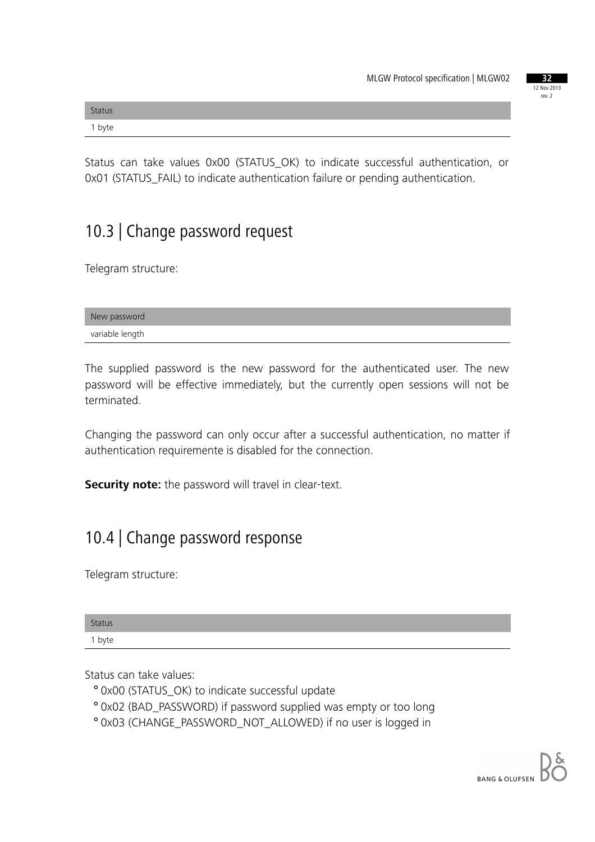|  | 37     |             |  |
|--|--------|-------------|--|
|  |        | 12 Nov 2013 |  |
|  | rev. 2 |             |  |
|  |        |             |  |

| <b>Status</b> |  |  |
|---------------|--|--|
| 1 byte        |  |  |

Status can take values 0x00 (STATUS\_OK) to indicate successful authentication, or 0x01 (STATUS\_FAIL) to indicate authentication failure or pending authentication.

### 10.3 | Change password request

Telegram structure:

| New password    |  |
|-----------------|--|
| variable length |  |

The supplied password is the new password for the authenticated user. The new password will be effective immediately, but the currently open sessions will not be terminated.

Changing the password can only occur after a successful authentication, no matter if authentication requiremente is disabled for the connection.

**Security note:** the password will travel in clear-text.

### 10.4 | Change password response

Telegram structure:

| <b>Status</b> |  |  |  |
|---------------|--|--|--|
| 1 byte        |  |  |  |

Status can take values:

- ° 0x00 (STATUS\_OK) to indicate successful update
- ° 0x02 (BAD\_PASSWORD) if password supplied was empty or too long
- ° 0x03 (CHANGE\_PASSWORD\_NOT\_ALLOWED) if no user is logged in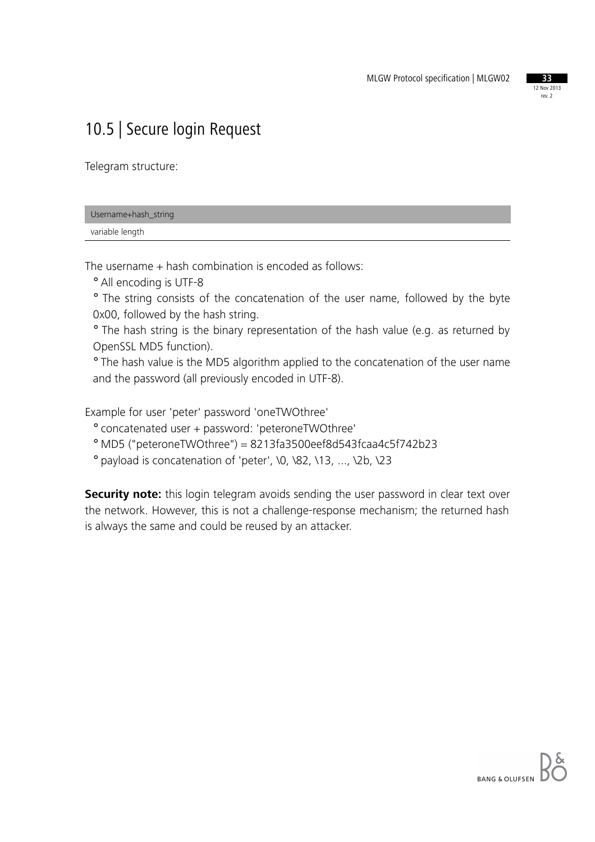

### 10.5 | Secure login Request

Telegram structure:

| Username+hash_string |  |
|----------------------|--|
| variable length      |  |

The username + hash combination is encoded as follows:

° All encoding is UTF-8

° The string consists of the concatenation of the user name, followed by the byte 0x00, followed by the hash string.

° The hash string is the binary representation of the hash value (e.g. as returned by OpenSSL MD5 function).

° The hash value is the MD5 algorithm applied to the concatenation of the user name and the password (all previously encoded in UTF-8).

Example for user 'peter' password 'oneTWOthree'

° concatenated user + password: 'peteroneTWOthree'

° MD5 ("peteroneTWOthree") = 8213fa3500eef8d543fcaa4c5f742b23

° payload is concatenation of 'peter', \0, \82, \13, ..., \2b, \23

**Security note:** this login telegram avoids sending the user password in clear text over the network. However, this is not a challenge-response mechanism; the returned hash is always the same and could be reused by an attacker.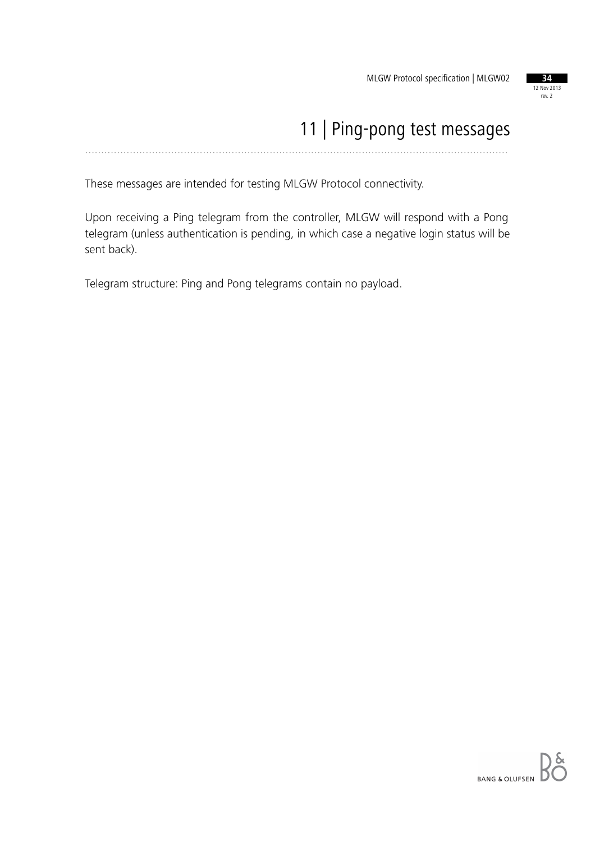

### 11 | Ping-pong test messages .....................................................................................................................................

These messages are intended for testing MLGW Protocol connectivity.

Upon receiving a Ping telegram from the controller, MLGW will respond with a Pong telegram (unless authentication is pending, in which case a negative login status will be sent back).

Telegram structure: Ping and Pong telegrams contain no payload.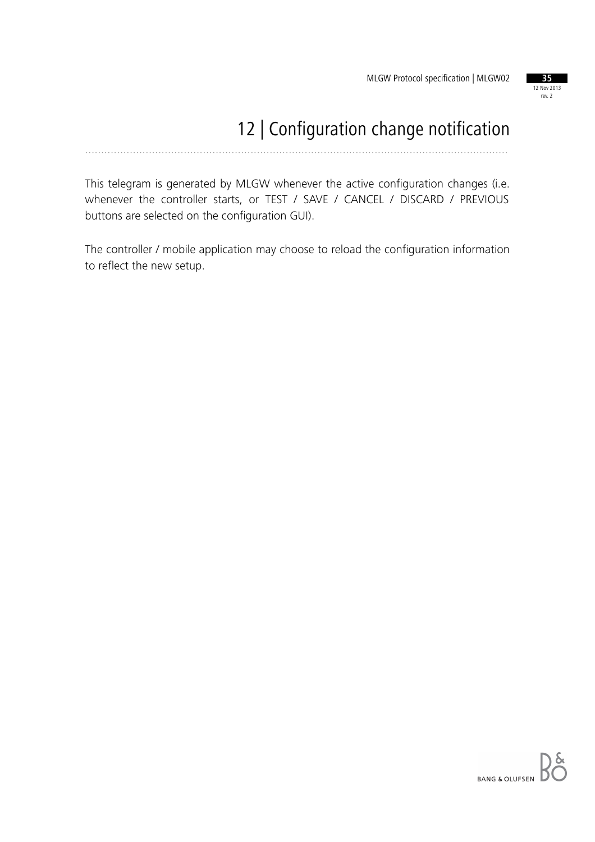

# 12 | Configuration change notification

.....................................................................................................................................

This telegram is generated by MLGW whenever the active configuration changes (i.e. whenever the controller starts, or TEST / SAVE / CANCEL / DISCARD / PREVIOUS buttons are selected on the configuration GUI).

The controller / mobile application may choose to reload the configuration information to reflect the new setup.